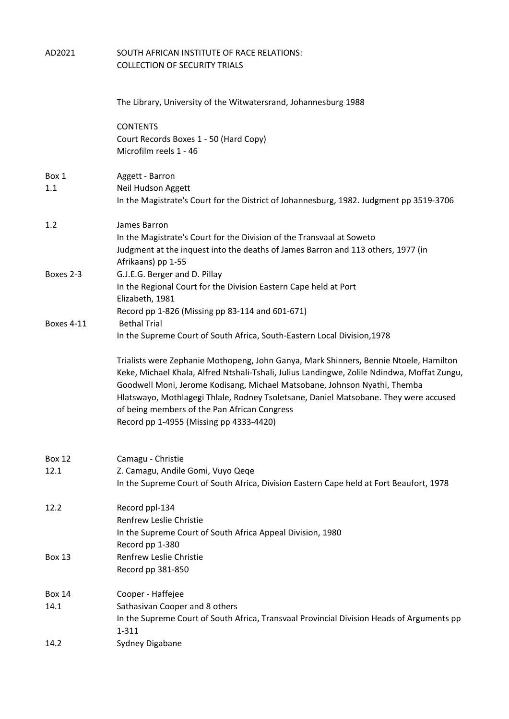| AD2021            | SOUTH AFRICAN INSTITUTE OF RACE RELATIONS:<br><b>COLLECTION OF SECURITY TRIALS</b>                                                                                                                                                                                                                                                                                                                                                                   |
|-------------------|------------------------------------------------------------------------------------------------------------------------------------------------------------------------------------------------------------------------------------------------------------------------------------------------------------------------------------------------------------------------------------------------------------------------------------------------------|
|                   |                                                                                                                                                                                                                                                                                                                                                                                                                                                      |
|                   | The Library, University of the Witwatersrand, Johannesburg 1988                                                                                                                                                                                                                                                                                                                                                                                      |
|                   | <b>CONTENTS</b>                                                                                                                                                                                                                                                                                                                                                                                                                                      |
|                   | Court Records Boxes 1 - 50 (Hard Copy)<br>Microfilm reels 1 - 46                                                                                                                                                                                                                                                                                                                                                                                     |
|                   |                                                                                                                                                                                                                                                                                                                                                                                                                                                      |
| Box 1             | Aggett - Barron                                                                                                                                                                                                                                                                                                                                                                                                                                      |
| 1.1               | Neil Hudson Aggett<br>In the Magistrate's Court for the District of Johannesburg, 1982. Judgment pp 3519-3706                                                                                                                                                                                                                                                                                                                                        |
| 1.2               | James Barron                                                                                                                                                                                                                                                                                                                                                                                                                                         |
|                   | In the Magistrate's Court for the Division of the Transvaal at Soweto                                                                                                                                                                                                                                                                                                                                                                                |
|                   | Judgment at the inquest into the deaths of James Barron and 113 others, 1977 (in                                                                                                                                                                                                                                                                                                                                                                     |
| Boxes 2-3         | Afrikaans) pp 1-55<br>G.J.E.G. Berger and D. Pillay                                                                                                                                                                                                                                                                                                                                                                                                  |
|                   | In the Regional Court for the Division Eastern Cape held at Port                                                                                                                                                                                                                                                                                                                                                                                     |
|                   | Elizabeth, 1981                                                                                                                                                                                                                                                                                                                                                                                                                                      |
| <b>Boxes 4-11</b> | Record pp 1-826 (Missing pp 83-114 and 601-671)<br><b>Bethal Trial</b>                                                                                                                                                                                                                                                                                                                                                                               |
|                   | In the Supreme Court of South Africa, South-Eastern Local Division, 1978                                                                                                                                                                                                                                                                                                                                                                             |
|                   | Trialists were Zephanie Mothopeng, John Ganya, Mark Shinners, Bennie Ntoele, Hamilton<br>Keke, Michael Khala, Alfred Ntshali-Tshali, Julius Landingwe, Zolile Ndindwa, Moffat Zungu,<br>Goodwell Moni, Jerome Kodisang, Michael Matsobane, Johnson Nyathi, Themba<br>Hlatswayo, Mothlagegi Thlale, Rodney Tsoletsane, Daniel Matsobane. They were accused<br>of being members of the Pan African Congress<br>Record pp 1-4955 (Missing pp 4333-4420) |
|                   |                                                                                                                                                                                                                                                                                                                                                                                                                                                      |
| <b>Box 12</b>     | Camagu - Christie                                                                                                                                                                                                                                                                                                                                                                                                                                    |
| 12.1              | Z. Camagu, Andile Gomi, Vuyo Qeqe<br>In the Supreme Court of South Africa, Division Eastern Cape held at Fort Beaufort, 1978                                                                                                                                                                                                                                                                                                                         |
|                   |                                                                                                                                                                                                                                                                                                                                                                                                                                                      |
| 12.2              | Record ppl-134<br>Renfrew Leslie Christie                                                                                                                                                                                                                                                                                                                                                                                                            |
|                   | In the Supreme Court of South Africa Appeal Division, 1980                                                                                                                                                                                                                                                                                                                                                                                           |
| <b>Box 13</b>     | Record pp 1-380<br>Renfrew Leslie Christie                                                                                                                                                                                                                                                                                                                                                                                                           |
|                   | Record pp 381-850                                                                                                                                                                                                                                                                                                                                                                                                                                    |
| <b>Box 14</b>     | Cooper - Haffejee                                                                                                                                                                                                                                                                                                                                                                                                                                    |
| 14.1              | Sathasivan Cooper and 8 others                                                                                                                                                                                                                                                                                                                                                                                                                       |
|                   | In the Supreme Court of South Africa, Transvaal Provincial Division Heads of Arguments pp<br>$1 - 311$                                                                                                                                                                                                                                                                                                                                               |
| 14.2              | Sydney Digabane                                                                                                                                                                                                                                                                                                                                                                                                                                      |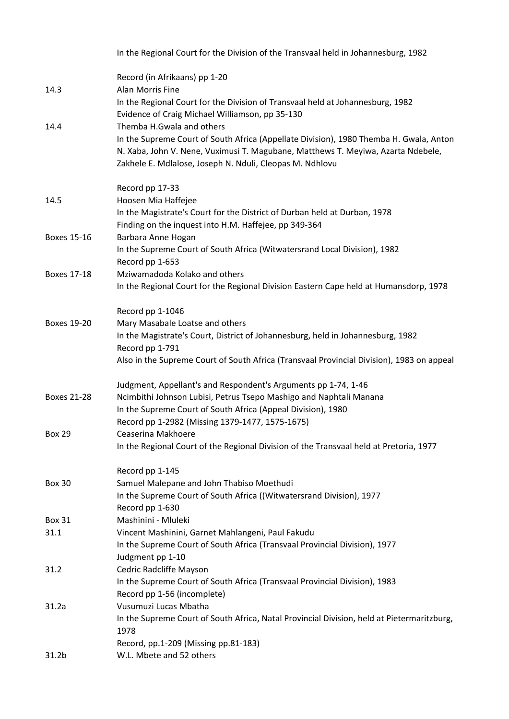|                    | In the Regional Court for the Division of the Transvaal held in Johannesburg, 1982                                                           |
|--------------------|----------------------------------------------------------------------------------------------------------------------------------------------|
|                    | Record (in Afrikaans) pp 1-20                                                                                                                |
| 14.3               | Alan Morris Fine                                                                                                                             |
|                    | In the Regional Court for the Division of Transvaal held at Johannesburg, 1982<br>Evidence of Craig Michael Williamson, pp 35-130            |
| 14.4               | Themba H.Gwala and others                                                                                                                    |
|                    | In the Supreme Court of South Africa (Appellate Division), 1980 Themba H. Gwala, Anton                                                       |
|                    | N. Xaba, John V. Nene, Vuximusi T. Magubane, Matthews T. Meyiwa, Azarta Ndebele,<br>Zakhele E. Mdlalose, Joseph N. Nduli, Cleopas M. Ndhlovu |
|                    | Record pp 17-33                                                                                                                              |
| 14.5               | Hoosen Mia Haffejee                                                                                                                          |
|                    | In the Magistrate's Court for the District of Durban held at Durban, 1978                                                                    |
|                    | Finding on the inquest into H.M. Haffejee, pp 349-364                                                                                        |
| <b>Boxes 15-16</b> | Barbara Anne Hogan                                                                                                                           |
|                    | In the Supreme Court of South Africa (Witwatersrand Local Division), 1982                                                                    |
|                    | Record pp 1-653                                                                                                                              |
| <b>Boxes 17-18</b> | Mziwamadoda Kolako and others                                                                                                                |
|                    | In the Regional Court for the Regional Division Eastern Cape held at Humansdorp, 1978                                                        |
|                    | Record pp 1-1046                                                                                                                             |
| <b>Boxes 19-20</b> | Mary Masabale Loatse and others                                                                                                              |
|                    | In the Magistrate's Court, District of Johannesburg, held in Johannesburg, 1982<br>Record pp 1-791                                           |
|                    | Also in the Supreme Court of South Africa (Transvaal Provincial Division), 1983 on appeal                                                    |
|                    | Judgment, Appellant's and Respondent's Arguments pp 1-74, 1-46                                                                               |
| <b>Boxes 21-28</b> | Ncimbithi Johnson Lubisi, Petrus Tsepo Mashigo and Naphtali Manana                                                                           |
|                    | In the Supreme Court of South Africa (Appeal Division), 1980                                                                                 |
|                    | Record pp 1-2982 (Missing 1379-1477, 1575-1675)                                                                                              |
| <b>Box 29</b>      | Ceaserina Makhoere                                                                                                                           |
|                    | In the Regional Court of the Regional Division of the Transvaal held at Pretoria, 1977                                                       |
|                    | Record pp 1-145                                                                                                                              |
| <b>Box 30</b>      | Samuel Malepane and John Thabiso Moethudi                                                                                                    |
|                    | In the Supreme Court of South Africa ((Witwatersrand Division), 1977<br>Record pp 1-630                                                      |
| <b>Box 31</b>      | Mashinini - Mluleki                                                                                                                          |
| 31.1               | Vincent Mashinini, Garnet Mahlangeni, Paul Fakudu                                                                                            |
|                    | In the Supreme Court of South Africa (Transvaal Provincial Division), 1977                                                                   |
|                    | Judgment pp 1-10                                                                                                                             |
| 31.2               | Cedric Radcliffe Mayson                                                                                                                      |
|                    | In the Supreme Court of South Africa (Transvaal Provincial Division), 1983                                                                   |
|                    | Record pp 1-56 (incomplete)                                                                                                                  |
| 31.2a              | Vusumuzi Lucas Mbatha                                                                                                                        |
|                    | In the Supreme Court of South Africa, Natal Provincial Division, held at Pietermaritzburg,<br>1978                                           |
|                    | Record, pp.1-209 (Missing pp.81-183)                                                                                                         |
| 31.2 <sub>b</sub>  | W.L. Mbete and 52 others                                                                                                                     |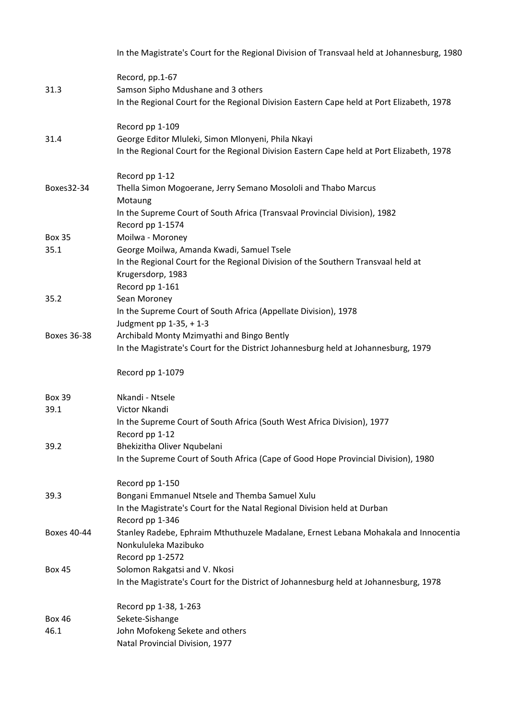|                    | In the Magistrate's Court for the Regional Division of Transvaal held at Johannesburg, 1980            |
|--------------------|--------------------------------------------------------------------------------------------------------|
|                    | Record, pp.1-67                                                                                        |
| 31.3               | Samson Sipho Mdushane and 3 others                                                                     |
|                    | In the Regional Court for the Regional Division Eastern Cape held at Port Elizabeth, 1978              |
|                    | Record pp 1-109                                                                                        |
| 31.4               | George Editor Mluleki, Simon Mlonyeni, Phila Nkayi                                                     |
|                    | In the Regional Court for the Regional Division Eastern Cape held at Port Elizabeth, 1978              |
|                    | Record pp 1-12                                                                                         |
| Boxes32-34         | Thella Simon Mogoerane, Jerry Semano Mosololi and Thabo Marcus                                         |
|                    | Motaung                                                                                                |
|                    | In the Supreme Court of South Africa (Transvaal Provincial Division), 1982<br>Record pp 1-1574         |
| <b>Box 35</b>      | Moilwa - Moroney                                                                                       |
| 35.1               | George Moilwa, Amanda Kwadi, Samuel Tsele                                                              |
|                    | In the Regional Court for the Regional Division of the Southern Transvaal held at<br>Krugersdorp, 1983 |
|                    | Record pp 1-161                                                                                        |
| 35.2               | Sean Moroney                                                                                           |
|                    | In the Supreme Court of South Africa (Appellate Division), 1978                                        |
|                    | Judgment pp 1-35, + 1-3                                                                                |
| <b>Boxes 36-38</b> | Archibald Monty Mzimyathi and Bingo Bently                                                             |
|                    | In the Magistrate's Court for the District Johannesburg held at Johannesburg, 1979                     |
|                    | Record pp 1-1079                                                                                       |
| <b>Box 39</b>      | Nkandi - Ntsele                                                                                        |
| 39.1               | Victor Nkandi                                                                                          |
|                    | In the Supreme Court of South Africa (South West Africa Division), 1977                                |
|                    | Record pp 1-12                                                                                         |
| 39.2               | Bhekizitha Oliver Nqubelani                                                                            |
|                    | In the Supreme Court of South Africa (Cape of Good Hope Provincial Division), 1980                     |
|                    | Record pp 1-150                                                                                        |
| 39.3               | Bongani Emmanuel Ntsele and Themba Samuel Xulu                                                         |
|                    | In the Magistrate's Court for the Natal Regional Division held at Durban                               |
|                    | Record pp 1-346                                                                                        |
| Boxes 40-44        | Stanley Radebe, Ephraim Mthuthuzele Madalane, Ernest Lebana Mohakala and Innocentia                    |
|                    | Nonkululeka Mazibuko                                                                                   |
|                    | Record pp 1-2572                                                                                       |
| <b>Box 45</b>      | Solomon Rakgatsi and V. Nkosi                                                                          |
|                    | In the Magistrate's Court for the District of Johannesburg held at Johannesburg, 1978                  |
|                    | Record pp 1-38, 1-263                                                                                  |
| <b>Box 46</b>      | Sekete-Sishange                                                                                        |
| 46.1               | John Mofokeng Sekete and others                                                                        |
|                    | Natal Provincial Division, 1977                                                                        |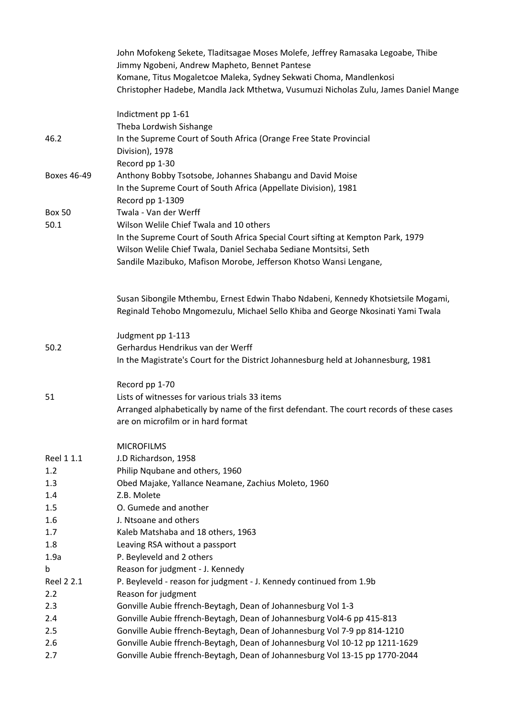|               | John Mofokeng Sekete, Tladitsagae Moses Molefe, Jeffrey Ramasaka Legoabe, Thibe<br>Jimmy Ngobeni, Andrew Mapheto, Bennet Pantese<br>Komane, Titus Mogaletcoe Maleka, Sydney Sekwati Choma, Mandlenkosi |
|---------------|--------------------------------------------------------------------------------------------------------------------------------------------------------------------------------------------------------|
|               | Christopher Hadebe, Mandla Jack Mthetwa, Vusumuzi Nicholas Zulu, James Daniel Mange                                                                                                                    |
|               | Indictment pp 1-61                                                                                                                                                                                     |
|               | Theba Lordwish Sishange                                                                                                                                                                                |
| 46.2          | In the Supreme Court of South Africa (Orange Free State Provincial                                                                                                                                     |
|               | Division), 1978                                                                                                                                                                                        |
|               | Record pp 1-30                                                                                                                                                                                         |
| Boxes 46-49   | Anthony Bobby Tsotsobe, Johannes Shabangu and David Moise                                                                                                                                              |
|               | In the Supreme Court of South Africa (Appellate Division), 1981                                                                                                                                        |
|               | Record pp 1-1309                                                                                                                                                                                       |
| <b>Box 50</b> | Twala - Van der Werff                                                                                                                                                                                  |
| 50.1          | Wilson Welile Chief Twala and 10 others                                                                                                                                                                |
|               | In the Supreme Court of South Africa Special Court sifting at Kempton Park, 1979                                                                                                                       |
|               | Wilson Welile Chief Twala, Daniel Sechaba Sediane Montsitsi, Seth                                                                                                                                      |
|               | Sandile Mazibuko, Mafison Morobe, Jefferson Khotso Wansi Lengane,                                                                                                                                      |
|               |                                                                                                                                                                                                        |
|               | Susan Sibongile Mthembu, Ernest Edwin Thabo Ndabeni, Kennedy Khotsietsile Mogami,                                                                                                                      |
|               | Reginald Tehobo Mngomezulu, Michael Sello Khiba and George Nkosinati Yami Twala                                                                                                                        |
|               | Judgment pp 1-113                                                                                                                                                                                      |
| 50.2          | Gerhardus Hendrikus van der Werff                                                                                                                                                                      |
|               | In the Magistrate's Court for the District Johannesburg held at Johannesburg, 1981                                                                                                                     |
|               | Record pp 1-70                                                                                                                                                                                         |
| 51            | Lists of witnesses for various trials 33 items                                                                                                                                                         |
|               | Arranged alphabetically by name of the first defendant. The court records of these cases                                                                                                               |
|               | are on microfilm or in hard format                                                                                                                                                                     |
|               | <b>MICROFILMS</b>                                                                                                                                                                                      |
| Reel 1 1.1    | J.D Richardson, 1958                                                                                                                                                                                   |
| 1.2           | Philip Nqubane and others, 1960                                                                                                                                                                        |
| 1.3           | Obed Majake, Yallance Neamane, Zachius Moleto, 1960                                                                                                                                                    |
| 1.4           | Z.B. Molete                                                                                                                                                                                            |
| 1.5           | O. Gumede and another                                                                                                                                                                                  |
| 1.6           | J. Ntsoane and others                                                                                                                                                                                  |
| 1.7           | Kaleb Matshaba and 18 others, 1963                                                                                                                                                                     |
| 1.8           | Leaving RSA without a passport                                                                                                                                                                         |
| 1.9a          | P. Beyleveld and 2 others                                                                                                                                                                              |
| b             | Reason for judgment - J. Kennedy                                                                                                                                                                       |
| Reel 2 2.1    | P. Beyleveld - reason for judgment - J. Kennedy continued from 1.9b                                                                                                                                    |
| $2.2\,$       | Reason for judgment                                                                                                                                                                                    |
| 2.3           | Gonville Aubie ffrench-Beytagh, Dean of Johannesburg Vol 1-3                                                                                                                                           |
| 2.4           | Gonville Aubie ffrench-Beytagh, Dean of Johannesburg Vol4-6 pp 415-813                                                                                                                                 |
| 2.5           | Gonville Aubie ffrench-Beytagh, Dean of Johannesburg Vol 7-9 pp 814-1210                                                                                                                               |
| 2.6           | Gonville Aubie ffrench-Beytagh, Dean of Johannesburg Vol 10-12 pp 1211-1629                                                                                                                            |
| 2.7           | Gonville Aubie ffrench-Beytagh, Dean of Johannesburg Vol 13-15 pp 1770-2044                                                                                                                            |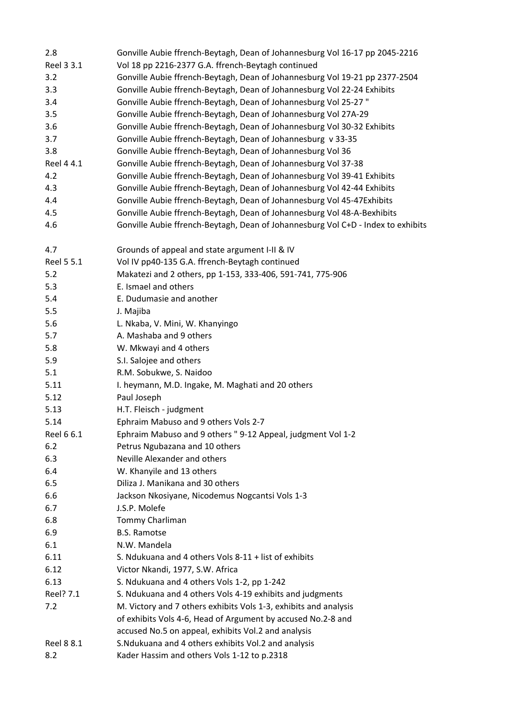| 2.8        | Gonville Aubie ffrench-Beytagh, Dean of Johannesburg Vol 16-17 pp 2045-2216      |
|------------|----------------------------------------------------------------------------------|
| Reel 3 3.1 | Vol 18 pp 2216-2377 G.A. ffrench-Beytagh continued                               |
| 3.2        | Gonville Aubie ffrench-Beytagh, Dean of Johannesburg Vol 19-21 pp 2377-2504      |
| 3.3        | Gonville Aubie ffrench-Beytagh, Dean of Johannesburg Vol 22-24 Exhibits          |
| 3.4        | Gonville Aubie ffrench-Beytagh, Dean of Johannesburg Vol 25-27"                  |
| 3.5        | Gonville Aubie ffrench-Beytagh, Dean of Johannesburg Vol 27A-29                  |
| 3.6        | Gonville Aubie ffrench-Beytagh, Dean of Johannesburg Vol 30-32 Exhibits          |
| 3.7        | Gonville Aubie ffrench-Beytagh, Dean of Johannesburg v 33-35                     |
| 3.8        | Gonville Aubie ffrench-Beytagh, Dean of Johannesburg Vol 36                      |
| Reel 4 4.1 | Gonville Aubie ffrench-Beytagh, Dean of Johannesburg Vol 37-38                   |
| 4.2        | Gonville Aubie ffrench-Beytagh, Dean of Johannesburg Vol 39-41 Exhibits          |
| 4.3        | Gonville Aubie ffrench-Beytagh, Dean of Johannesburg Vol 42-44 Exhibits          |
| 4.4        | Gonville Aubie ffrench-Beytagh, Dean of Johannesburg Vol 45-47Exhibits           |
| 4.5        | Gonville Aubie ffrench-Beytagh, Dean of Johannesburg Vol 48-A-Bexhibits          |
| 4.6        | Gonville Aubie ffrench-Beytagh, Dean of Johannesburg Vol C+D - Index to exhibits |
|            |                                                                                  |
| 4.7        | Grounds of appeal and state argument I-II & IV                                   |
| Reel 5 5.1 | Vol IV pp40-135 G.A. ffrench-Beytagh continued                                   |
| 5.2        | Makatezi and 2 others, pp 1-153, 333-406, 591-741, 775-906                       |
| 5.3        | E. Ismael and others                                                             |
| 5.4        | E. Dudumasie and another                                                         |
| 5.5        | J. Majiba                                                                        |
| 5.6        | L. Nkaba, V. Mini, W. Khanyingo                                                  |
| 5.7        | A. Mashaba and 9 others                                                          |
| 5.8        | W. Mkwayi and 4 others                                                           |
| 5.9        | S.I. Salojee and others                                                          |
| 5.1        | R.M. Sobukwe, S. Naidoo                                                          |
| 5.11       | I. heymann, M.D. Ingake, M. Maghati and 20 others                                |
| 5.12       | Paul Joseph                                                                      |
| 5.13       | H.T. Fleisch - judgment                                                          |
| 5.14       | Ephraim Mabuso and 9 others Vols 2-7                                             |
| Reel 6 6.1 | Ephraim Mabuso and 9 others " 9-12 Appeal, judgment Vol 1-2                      |
| 6.2        | Petrus Ngubazana and 10 others                                                   |
| 6.3        | Neville Alexander and others                                                     |
| 6.4        | W. Khanyile and 13 others                                                        |
| 6.5        | Diliza J. Manikana and 30 others                                                 |
| 6.6        | Jackson Nkosiyane, Nicodemus Nogcantsi Vols 1-3                                  |
| 6.7        | J.S.P. Molefe                                                                    |
| 6.8        | Tommy Charliman                                                                  |
| 6.9        | <b>B.S. Ramotse</b>                                                              |
| 6.1        | N.W. Mandela                                                                     |
| 6.11       | S. Ndukuana and 4 others Vols 8-11 + list of exhibits                            |
| 6.12       | Victor Nkandi, 1977, S.W. Africa                                                 |
| 6.13       | S. Ndukuana and 4 others Vols 1-2, pp 1-242                                      |
| Reel? 7.1  | S. Ndukuana and 4 others Vols 4-19 exhibits and judgments                        |
| 7.2        | M. Victory and 7 others exhibits Vols 1-3, exhibits and analysis                 |
|            | of exhibits Vols 4-6, Head of Argument by accused No.2-8 and                     |
|            | accused No.5 on appeal, exhibits Vol.2 and analysis                              |
| Reel 8 8.1 | S. Ndukuana and 4 others exhibits Vol. 2 and analysis                            |
| 8.2        | Kader Hassim and others Vols 1-12 to p.2318                                      |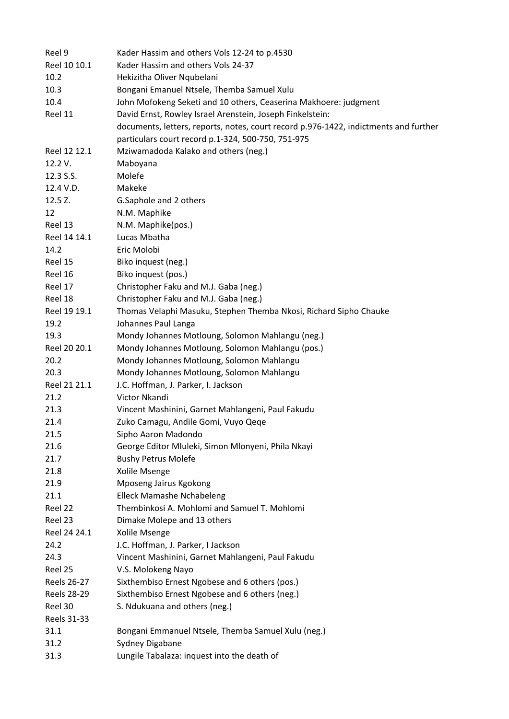| Reel 9             | Kader Hassim and others Vols 12-24 to p.4530                                         |
|--------------------|--------------------------------------------------------------------------------------|
| Reel 10 10.1       | Kader Hassim and others Vols 24-37                                                   |
| 10.2               | Hekizitha Oliver Nqubelani                                                           |
| 10.3               | Bongani Emanuel Ntsele, Themba Samuel Xulu                                           |
| 10.4               | John Mofokeng Seketi and 10 others, Ceaserina Makhoere: judgment                     |
| Reel 11            | David Ernst, Rowley Israel Arenstein, Joseph Finkelstein:                            |
|                    | documents, letters, reports, notes, court record p.976-1422, indictments and further |
|                    | particulars court record p.1-324, 500-750, 751-975                                   |
| Reel 12 12.1       | Mziwamadoda Kalako and others (neg.)                                                 |
| 12.2 V.            | Maboyana                                                                             |
| 12.3 S.S.          | Molefe                                                                               |
| 12.4 V.D.          | Makeke                                                                               |
| 12.5 Z.            | G.Saphole and 2 others                                                               |
| 12                 | N.M. Maphike                                                                         |
| Reel 13            | N.M. Maphike(pos.)                                                                   |
| Reel 14 14.1       | Lucas Mbatha                                                                         |
| 14.2               | Eric Molobi                                                                          |
| Reel 15            | Biko inquest (neg.)                                                                  |
| Reel 16            | Biko inquest (pos.)                                                                  |
| Reel 17            | Christopher Faku and M.J. Gaba (neg.)                                                |
| Reel 18            | Christopher Faku and M.J. Gaba (neg.)                                                |
| Reel 19 19.1       | Thomas Velaphi Masuku, Stephen Themba Nkosi, Richard Sipho Chauke                    |
| 19.2               | Johannes Paul Langa                                                                  |
| 19.3               | Mondy Johannes Motloung, Solomon Mahlangu (neg.)                                     |
| Reel 20 20.1       | Mondy Johannes Motloung, Solomon Mahlangu (pos.)                                     |
| 20.2               | Mondy Johannes Motloung, Solomon Mahlangu                                            |
| 20.3               | Mondy Johannes Motloung, Solomon Mahlangu                                            |
| Reel 21 21.1       | J.C. Hoffman, J. Parker, I. Jackson                                                  |
| 21.2               | Victor Nkandi                                                                        |
| 21.3               | Vincent Mashinini, Garnet Mahlangeni, Paul Fakudu                                    |
| 21.4               | Zuko Camagu, Andile Gomi, Vuyo Qeqe                                                  |
| 21.5               | Sipho Aaron Madondo                                                                  |
| 21.6               | George Editor Mluleki, Simon Mlonyeni, Phila Nkayi                                   |
| 21.7               | <b>Bushy Petrus Molefe</b>                                                           |
| 21.8               | Xolile Msenge                                                                        |
| 21.9               | Mposeng Jairus Kgokong                                                               |
| 21.1               | <b>Elleck Mamashe Nchabeleng</b>                                                     |
| Reel 22            | Thembinkosi A. Mohlomi and Samuel T. Mohlomi                                         |
| Reel 23            | Dimake Molepe and 13 others                                                          |
| Reel 24 24.1       | Xolile Msenge                                                                        |
| 24.2               | J.C. Hoffman, J. Parker, I Jackson                                                   |
| 24.3               | Vincent Mashinini, Garnet Mahlangeni, Paul Fakudu                                    |
| Reel 25            | V.S. Molokeng Nayo                                                                   |
| Reels 26-27        | Sixthembiso Ernest Ngobese and 6 others (pos.)                                       |
| <b>Reels 28-29</b> | Sixthembiso Ernest Ngobese and 6 others (neg.)                                       |
| Reel 30            | S. Ndukuana and others (neg.)                                                        |
| Reels 31-33        |                                                                                      |
| 31.1               | Bongani Emmanuel Ntsele, Themba Samuel Xulu (neg.)                                   |
| 31.2               | Sydney Digabane                                                                      |
| 31.3               | Lungile Tabalaza: inquest into the death of                                          |
|                    |                                                                                      |